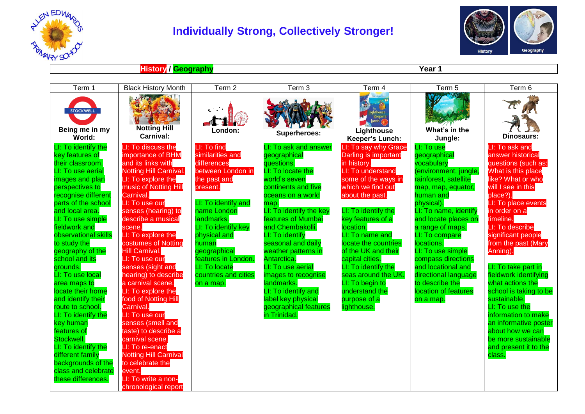

## **Individually Strong, Collectively Stronger!**



**History** */ Geography* **Year 1** 

| Term 1                                                                                                                                                                                                                                                                                                                                                                                                                                                                                                                                                                                                   | <b>Black History Month</b>                                                                                                                                                                                                                                                                                                                                                                                                                                                                                                                                                                                                                                          | Term 2                                                                                                                                                                                                                                                                                           | Term 3                                                                                                                                                                                                                                                                                                                                                                                                                                                   | Term 4                                                                                                                                                                                                                                                                                                                                                                                                          | Term 5                                                                                                                                                                                                                                                                                                                                                                                            | Term 6                                                                                                                                                                                                                                                                                                                                                                                                                                                                                                                                 |
|----------------------------------------------------------------------------------------------------------------------------------------------------------------------------------------------------------------------------------------------------------------------------------------------------------------------------------------------------------------------------------------------------------------------------------------------------------------------------------------------------------------------------------------------------------------------------------------------------------|---------------------------------------------------------------------------------------------------------------------------------------------------------------------------------------------------------------------------------------------------------------------------------------------------------------------------------------------------------------------------------------------------------------------------------------------------------------------------------------------------------------------------------------------------------------------------------------------------------------------------------------------------------------------|--------------------------------------------------------------------------------------------------------------------------------------------------------------------------------------------------------------------------------------------------------------------------------------------------|----------------------------------------------------------------------------------------------------------------------------------------------------------------------------------------------------------------------------------------------------------------------------------------------------------------------------------------------------------------------------------------------------------------------------------------------------------|-----------------------------------------------------------------------------------------------------------------------------------------------------------------------------------------------------------------------------------------------------------------------------------------------------------------------------------------------------------------------------------------------------------------|---------------------------------------------------------------------------------------------------------------------------------------------------------------------------------------------------------------------------------------------------------------------------------------------------------------------------------------------------------------------------------------------------|----------------------------------------------------------------------------------------------------------------------------------------------------------------------------------------------------------------------------------------------------------------------------------------------------------------------------------------------------------------------------------------------------------------------------------------------------------------------------------------------------------------------------------------|
| <b>STOCKWELL</b><br>Being me in my<br>World:                                                                                                                                                                                                                                                                                                                                                                                                                                                                                                                                                             | <b>Notting Hill</b><br>Carnival:                                                                                                                                                                                                                                                                                                                                                                                                                                                                                                                                                                                                                                    | London:                                                                                                                                                                                                                                                                                          | Superheroes:                                                                                                                                                                                                                                                                                                                                                                                                                                             | Lighthouse<br>Keeper's<br>Lunch (40<br>Lighthouse<br>Keeper's Lunch:                                                                                                                                                                                                                                                                                                                                            | What's in the<br>Jungle:                                                                                                                                                                                                                                                                                                                                                                          | <b>Dinosaurs:</b>                                                                                                                                                                                                                                                                                                                                                                                                                                                                                                                      |
| LI: To identify the<br>key features of<br>their classroom.<br>LI: To use aerial<br>images and plan<br>perspectives to<br>recognise different<br>parts of the school<br>and local area.<br>LI: To use simple<br>fieldwork and<br>observational skills<br>to study the<br>geography of the<br>school and its<br>grounds.<br>LI: To use local<br>area maps to<br>locate their home<br>and identify their<br>route to school.<br>LI: To identify the<br>key human<br>features of<br>Stockwell.<br>LI: To identify the<br>different family<br>backgrounds of the<br>class and celebrate<br>these differences. | LI: To discuss the<br>importance of BHM<br>and its links with<br>Notting Hill Carnival.<br>LI: To explore the<br>music of Notting Hill<br>Carnival.<br>LI: To use our<br>senses (hearing) to<br>describe a musical<br>scene.<br>LI: To explore the<br>costumes of Notting<br><b>Hill Carnival.</b><br>LI: To use our<br>senses (sight and<br>hearing) to describe<br>a carnival scene.<br>LI: To explore the<br>food of Notting Hill<br>Carnival.<br>LI: To use our<br>senses (smell and<br>taste) to describe a<br>carnival scene.<br>LI: To re-enact<br><b>Notting Hill Carnival</b><br>to celebrate the<br>event.<br>LI: To write a non-<br>chronological report | LI: To find<br>similarities and<br>differences<br>between London in<br>the past and<br>present.<br>LI: To identify and<br>name London<br>landmarks.<br>LI: To identify key<br>physical and<br>human<br>geographical<br>features in London.<br>LI: To locate<br>countries and cities<br>on a map. | LI: To ask and answer<br>geographical<br>questions.<br>LI: To locate the<br>world's seven<br>continents and five<br>oceans on a world<br>map.<br>LI: To identify the key<br><b>features of Mumbai</b><br>and Chembakolli.<br>LI: To identify<br>seasonal and daily<br>weather patterns in<br>Antarctica.<br>LI: To use aerial<br>images to recognise<br>landmarks.<br>LI: To identify and<br>label key physical<br>geographical features<br>in Trinidad. | LI: To say why Grace<br>Darling is important<br>in history.<br>LI: To understand<br>some of the ways in<br>which we find out<br>about the past.<br>LI: To identify the<br>key features of a<br>location.<br>LI: To name and<br>locate the countries<br>of the UK and their<br>capital cities.<br>LI: To identify the<br>seas around the UK.<br>LI: To begin to<br>understand the<br>purpose of a<br>lighthouse. | LI: To use<br>geographical<br>vocabulary<br>(environment, jungle,<br>rainforest, satellite<br>map, map, equator,<br>human and<br>physical).<br>LI: To name, identify<br>and locate places on<br>a range of maps.<br>LI: To compare<br>locations.<br>LI: To use simple<br>compass directions<br>and locational and<br>directional language<br>to describe the<br>location of features<br>on a map. | LI: To ask and<br>answer historical<br>questions (such as:<br>What is this place<br>like? What or who<br>will I see in this<br>place?).<br>LI: To place events<br>in order on a<br>timeline.<br>LI: To describe<br>significant people<br>from the past (Mary<br>Anning).<br>LI: To take part in<br>fieldwork identifying<br>what actions the<br>school is taking to be<br>sustainable.<br>LI: To use the<br>information to make<br>an informative poster<br>about how we can<br>be more sustainable<br>and present it to the<br>class. |